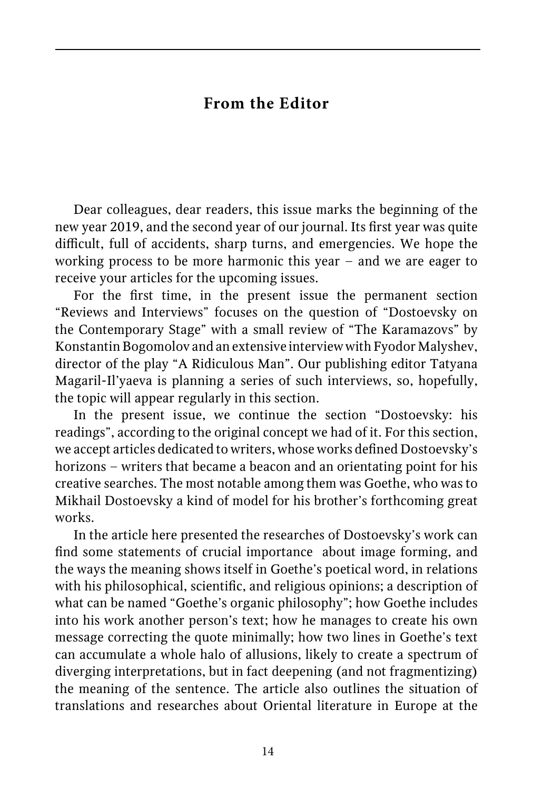## **From the Editor**

Dear colleagues, dear readers, this issue marks the beginning of the new year 2019, and the second year of our journal. Its first year was quite difficult, full of accidents, sharp turns, and emergencies. We hope the working process to be more harmonic this year – and we are eager to receive your articles for the upcoming issues.

For the first time, in the present issue the permanent section "Reviews and Interviews" focuses on the question of "Dostoevsky on the Contemporary Stage" with a small review of "The Karamazovs" by Konstantin Bogomolov and an extensive interview with Fyodor Malyshev, director of the play "A Ridiculous Man". Our publishing editor Tatyana Magaril-Il'yaeva is planning a series of such interviews, so, hopefully, the topic will appear regularly in this section.

In the present issue, we continue the section "Dostoevsky: his readings", according to the original concept we had of it. For this section, we accept articles dedicated to writers, whose works defined Dostoevsky's horizons – writers that became a beacon and an orientating point for his creative searches. The most notable among them was Goethe, who was to Mikhail Dostoevsky a kind of model for his brother's forthcoming great works.

In the article here presented the researches of Dostoevsky's work can find some statements of crucial importance about image forming, and the ways the meaning shows itself in Goethe's poetical word, in relations with his philosophical, scientific, and religious opinions; a description of what can be named "Goethe's organic philosophy"; how Goethe includes into his work another person's text; how he manages to create his own message correcting the quote minimally; how two lines in Goethe's text can accumulate a whole halo of allusions, likely to create a spectrum of diverging interpretations, but in fact deepening (and not fragmentizing) the meaning of the sentence. The article also outlines the situation of translations and researches about Oriental literature in Europe at the